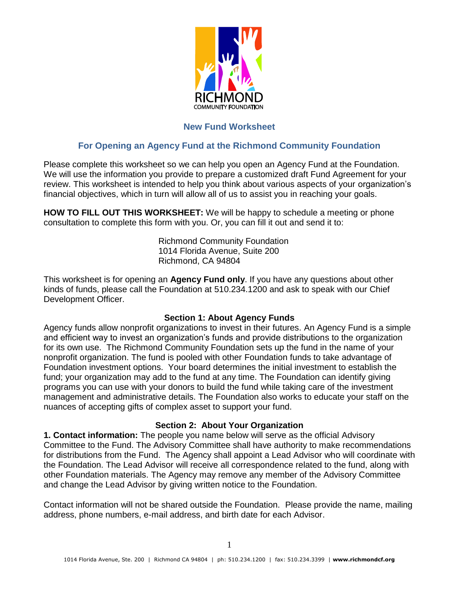

# **New Fund Worksheet**

# **For Opening an Agency Fund at the Richmond Community Foundation**

Please complete this worksheet so we can help you open an Agency Fund at the Foundation. We will use the information you provide to prepare a customized draft Fund Agreement for your review. This worksheet is intended to help you think about various aspects of your organization's financial objectives, which in turn will allow all of us to assist you in reaching your goals.

**HOW TO FILL OUT THIS WORKSHEET:** We will be happy to schedule a meeting or phone consultation to complete this form with you. Or, you can fill it out and send it to:

> Richmond Community Foundation 1014 Florida Avenue, Suite 200 Richmond, CA 94804

This worksheet is for opening an **Agency Fund only**. If you have any questions about other kinds of funds, please call the Foundation at 510.234.1200 and ask to speak with our Chief Development Officer.

#### **Section 1: About Agency Funds**

Agency funds allow nonprofit organizations to invest in their futures. An Agency Fund is a simple and efficient way to invest an organization's funds and provide distributions to the organization for its own use. The Richmond Community Foundation sets up the fund in the name of your nonprofit organization. The fund is pooled with other Foundation funds to take advantage of Foundation investment options. Your board determines the initial investment to establish the fund; your organization may add to the fund at any time. The Foundation can identify giving programs you can use with your donors to build the fund while taking care of the investment management and administrative details. The Foundation also works to educate your staff on the nuances of accepting gifts of complex asset to support your fund.

## **Section 2: About Your Organization**

**1. Contact information:** The people you name below will serve as the official Advisory Committee to the Fund. The Advisory Committee shall have authority to make recommendations for distributions from the Fund. The Agency shall appoint a Lead Advisor who will coordinate with the Foundation. The Lead Advisor will receive all correspondence related to the fund, along with other Foundation materials. The Agency may remove any member of the Advisory Committee and change the Lead Advisor by giving written notice to the Foundation.

Contact information will not be shared outside the Foundation. Please provide the name, mailing address, phone numbers, e-mail address, and birth date for each Advisor.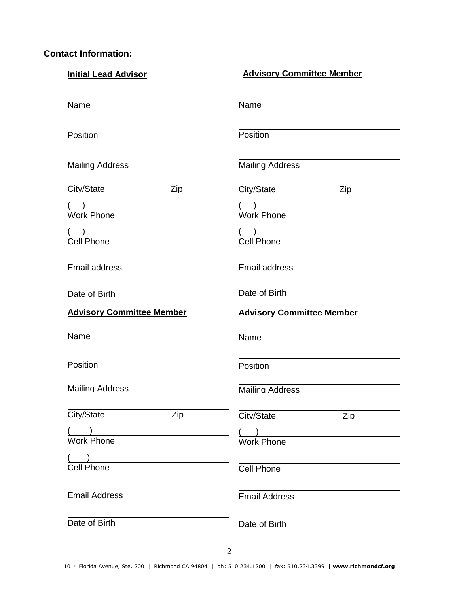# **Contact Information:**

| <b>Initial Lead Advisor</b>      | <b>Advisory Committee Member</b>      |
|----------------------------------|---------------------------------------|
| Name                             | Name                                  |
| Position                         | Position                              |
| <b>Mailing Address</b>           | <b>Mailing Address</b>                |
| City/State<br>Zip                | City/State<br>Zip                     |
| <u>( )</u><br>Work Phone         | ( )<br>Work Phone                     |
| Cell Phone                       | $\frac{() }{Cell \quad \text{Phone}}$ |
| Email address                    | Email address                         |
| Date of Birth                    | Date of Birth                         |
|                                  |                                       |
| <b>Advisory Committee Member</b> | <b>Advisory Committee Member</b>      |
| Name                             | Name                                  |
| Position                         | Position                              |
| <b>Mailing Address</b>           | <b>Mailing Address</b>                |
| City/State<br>Zip                | City/State<br>Zip                     |
| <b>Work Phone</b>                | <b>Work Phone</b>                     |
| <b>Cell Phone</b>                | <b>Cell Phone</b>                     |
| <b>Email Address</b>             | <b>Email Address</b>                  |
| Date of Birth                    | Date of Birth                         |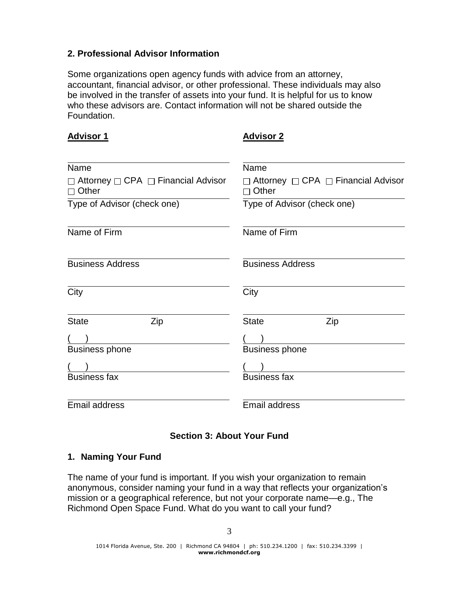# **2. Professional Advisor Information**

Some organizations open agency funds with advice from an attorney, accountant, financial advisor, or other professional. These individuals may also be involved in the transfer of assets into your fund. It is helpful for us to know who these advisors are. Contact information will not be shared outside the Foundation.

| <u>Advisor 1</u>                                     | <u>Advisor 2</u>                                                    |
|------------------------------------------------------|---------------------------------------------------------------------|
|                                                      |                                                                     |
| Name                                                 | Name                                                                |
| □ Attorney □ CPA □ Financial Advisor<br>$\Box$ Other | $\Box$ Attorney $\Box$ CPA $\Box$ Financial Advisor<br>$\Box$ Other |
| Type of Advisor (check one)                          | Type of Advisor (check one)                                         |
| Name of Firm                                         | Name of Firm                                                        |
| <b>Business Address</b>                              | <b>Business Address</b>                                             |
| City                                                 | City                                                                |
| <b>State</b><br>Zip                                  | <b>State</b><br>Zip                                                 |
|                                                      |                                                                     |
| <b>Business phone</b>                                | <b>Business phone</b>                                               |
|                                                      |                                                                     |
| <b>Business fax</b>                                  | <b>Business fax</b>                                                 |
| Email address                                        | Email address                                                       |

# **Section 3: About Your Fund**

## **1. Naming Your Fund**

The name of your fund is important. If you wish your organization to remain anonymous, consider naming your fund in a way that reflects your organization's mission or a geographical reference, but not your corporate name—e.g., The Richmond Open Space Fund. What do you want to call your fund?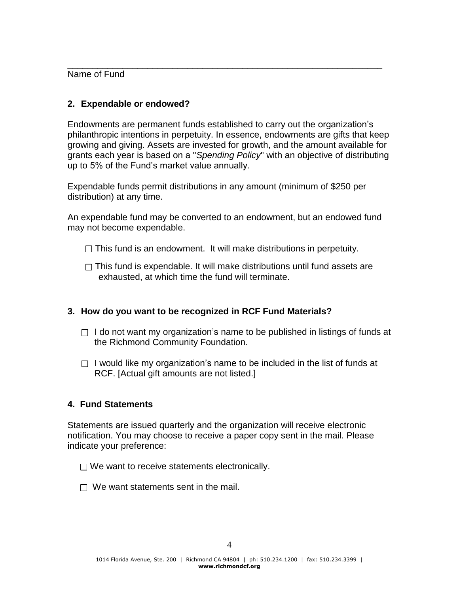Name of Fund

# **2. Expendable or endowed?**

Endowments are permanent funds established to carry out the organization's philanthropic intentions in perpetuity. In essence, endowments are gifts that keep growing and giving. Assets are invested for growth, and the amount available for grants each year is based on a "*Spending Policy*" with an objective of distributing up to 5% of the Fund's market value annually.

\_\_\_\_\_\_\_\_\_\_\_\_\_\_\_\_\_\_\_\_\_\_\_\_\_\_\_\_\_\_\_\_\_\_\_\_\_\_\_\_\_\_\_\_\_\_\_\_\_\_\_\_\_\_\_\_\_\_\_\_\_\_\_

Expendable funds permit distributions in any amount (minimum of \$250 per distribution) at any time.

An expendable fund may be converted to an endowment, but an endowed fund may not become expendable.

- $\Box$  This fund is an endowment. It will make distributions in perpetuity.
- $\Box$  This fund is expendable. It will make distributions until fund assets are exhausted, at which time the fund will terminate.

# **3. How do you want to be recognized in RCF Fund Materials?**

- $\Box$  I do not want my organization's name to be published in listings of funds at the Richmond Community Foundation.
- $\Box$  I would like my organization's name to be included in the list of funds at RCF. [Actual gift amounts are not listed.]

## **4. Fund Statements**

Statements are issued quarterly and the organization will receive electronic notification. You may choose to receive a paper copy sent in the mail. Please indicate your preference:

- $\Box$  We want to receive statements electronically.
- $\Box$  We want statements sent in the mail.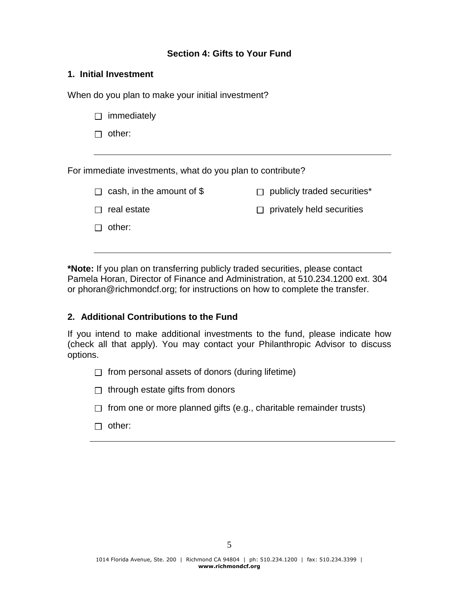## **Section 4: Gifts to Your Fund**

#### **1. Initial Investment**

When do you plan to make your initial investment?

| immediately                                                |                                |  |  |
|------------------------------------------------------------|--------------------------------|--|--|
| other:                                                     |                                |  |  |
|                                                            |                                |  |  |
| For immediate investments, what do you plan to contribute? |                                |  |  |
| cash, in the amount of $$$                                 | publicly traded securities*    |  |  |
| real estate                                                | privately held securities<br>П |  |  |
| other:                                                     |                                |  |  |
|                                                            |                                |  |  |

**\*Note:** If you plan on transferring publicly traded securities, please contact Pamela Horan, Director of Finance and Administration, at 510.234.1200 ext. 304 or phoran@richmondcf.org; for instructions on how to complete the transfer.

## **2. Additional Contributions to the Fund**

If you intend to make additional investments to the fund, please indicate how (check all that apply). You may contact your Philanthropic Advisor to discuss options.

- $\Box$  from personal assets of donors (during lifetime)
- $\Box$  through estate gifts from donors
- $\Box$  from one or more planned gifts (e.g., charitable remainder trusts)
- □ other: